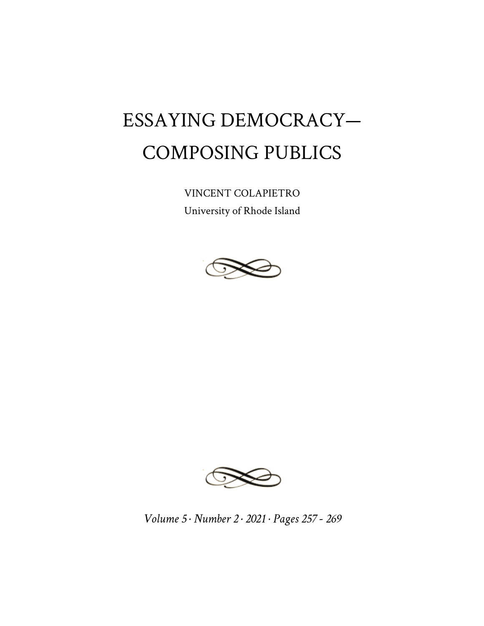## ESSAYING DEMOCRACY— COMPOSING PUBLICS

VINCENT COLAPIETRO University of Rhode Island





*Volume 5 · Number 2 · 2021 · Pages 257 - 269*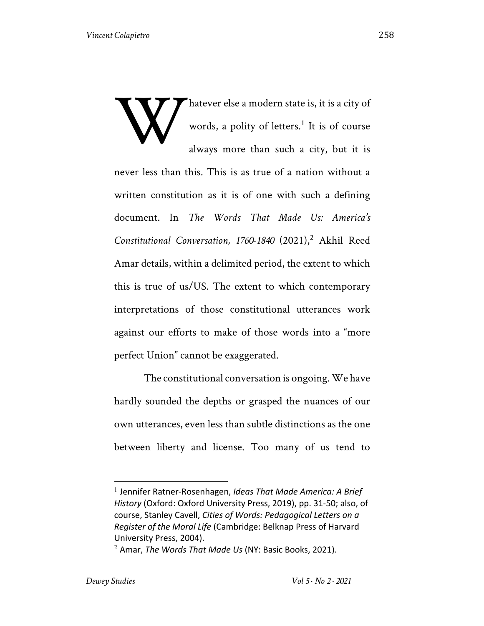hatever else a modern state is, it is a city of words, a polity of letters.<sup>1</sup> It is of course always more than such a city, but it is never less than this. This is as true of a nation without a written constitution as it is of one with such a defining document. In *The Words That Made Us: America's*  Constitutional Conversation, 1760-1840 (2021),<sup>2</sup> Akhil Reed Amar details, within a delimited period, the extent to which this is true of us/US. The extent to which contemporary interpretations of those constitutional utterances work against our efforts to make of those words into a "more perfect Union" cannot be exaggerated. W

 The constitutional conversation is ongoing. We have hardly sounded the depths or grasped the nuances of our own utterances, even less than subtle distinctions as the one between liberty and license. Too many of us tend to

<sup>1</sup> Jennifer Ratner-Rosenhagen, *Ideas That Made America: A Brief History* (Oxford: Oxford University Press, 2019), pp. 31-50; also, of course, Stanley Cavell, *Cities of Words: Pedagogical Letters on a Register of the Moral Life* (Cambridge: Belknap Press of Harvard University Press, 2004).

<sup>2</sup> Amar, *The Words That Made Us* (NY: Basic Books, 2021).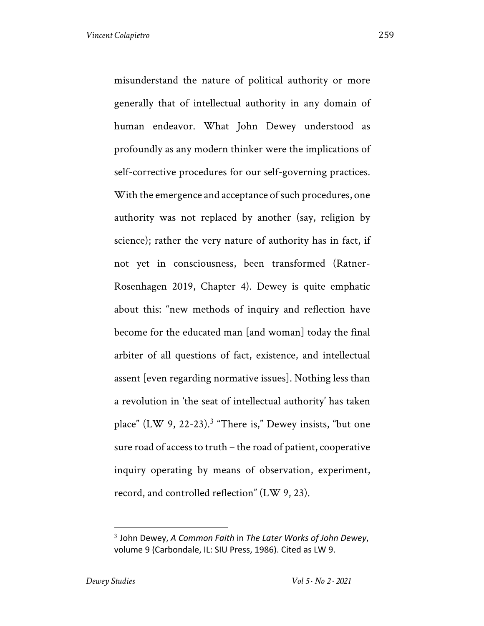misunderstand the nature of political authority or more generally that of intellectual authority in any domain of human endeavor. What John Dewey understood as profoundly as any modern thinker were the implications of self-corrective procedures for our self-governing practices. With the emergence and acceptance of such procedures, one authority was not replaced by another (say, religion by science); rather the very nature of authority has in fact, if not yet in consciousness, been transformed (Ratner-Rosenhagen 2019, Chapter 4). Dewey is quite emphatic about this: "new methods of inquiry and reflection have become for the educated man [and woman] today the final arbiter of all questions of fact, existence, and intellectual assent [even regarding normative issues]. Nothing less than a revolution in 'the seat of intellectual authority' has taken place"  $(LW 9, 22-23).$ <sup>3</sup> "There is," Dewey insists, "but one sure road of access to truth – the road of patient, cooperative inquiry operating by means of observation, experiment, record, and controlled reflection" (LW 9, 23).

<sup>3</sup> John Dewey, *A Common Faith* in *The Later Works of John Dewey*, volume 9 (Carbondale, IL: SIU Press, 1986). Cited as LW 9.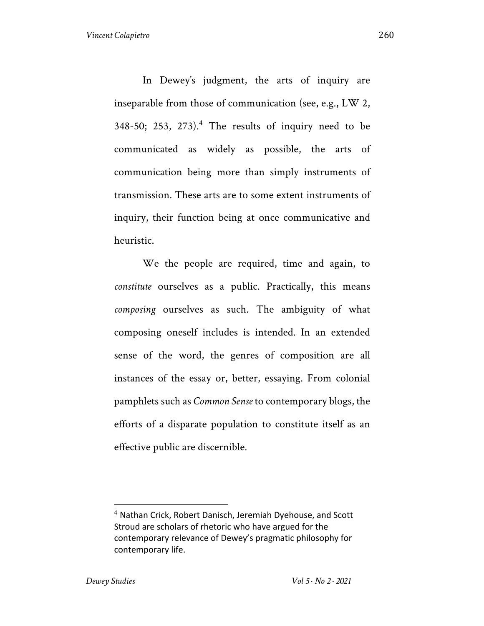In Dewey's judgment, the arts of inquiry are inseparable from those of communication (see, e.g., LW 2,  $348-50$ ;  $253$ ,  $273$ ).<sup>4</sup> The results of inquiry need to be communicated as widely as possible, the arts of communication being more than simply instruments of transmission. These arts are to some extent instruments of inquiry, their function being at once communicative and heuristic.

We the people are required, time and again, to *constitute* ourselves as a public. Practically, this means *composing* ourselves as such. The ambiguity of what composing oneself includes is intended. In an extended sense of the word, the genres of composition are all instances of the essay or, better, essaying. From colonial pamphlets such as *Common Sense* to contemporary blogs, the efforts of a disparate population to constitute itself as an effective public are discernible.

<sup>4</sup> Nathan Crick, Robert Danisch, Jeremiah Dyehouse, and Scott Stroud are scholars of rhetoric who have argued for the contemporary relevance of Dewey's pragmatic philosophy for contemporary life.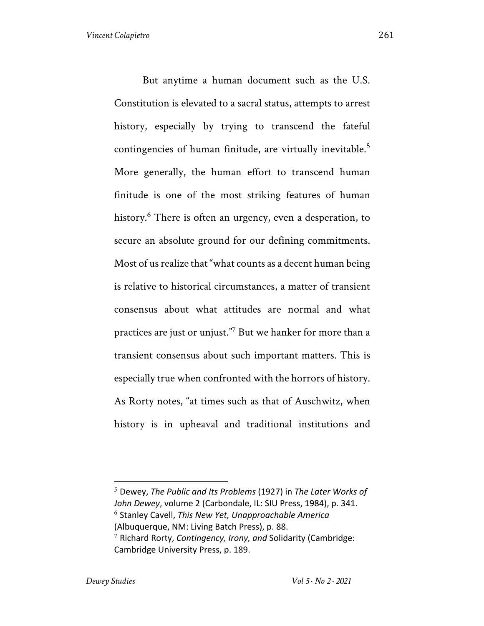But anytime a human document such as the U.S. Constitution is elevated to a sacral status, attempts to arrest history, especially by trying to transcend the fateful contingencies of human finitude, are virtually inevitable.<sup>5</sup> More generally, the human effort to transcend human finitude is one of the most striking features of human history.<sup>6</sup> There is often an urgency, even a desperation, to secure an absolute ground for our defining commitments. Most of us realize that "what counts as a decent human being is relative to historical circumstances, a matter of transient consensus about what attitudes are normal and what practices are just or unjust."7 But we hanker for more than a transient consensus about such important matters. This is especially true when confronted with the horrors of history. As Rorty notes, "at times such as that of Auschwitz, when history is in upheaval and traditional institutions and

<sup>5</sup> Dewey, *The Public and Its Problems* (1927) in *The Later Works of John Dewey*, volume 2 (Carbondale, IL: SIU Press, 1984), p. 341. <sup>6</sup> Stanley Cavell, *This New Yet, Unapproachable America* (Albuquerque, NM: Living Batch Press), p. 88. <sup>7</sup> Richard Rorty, *Contingency, Irony, and* Solidarity (Cambridge:

Cambridge University Press, p. 189.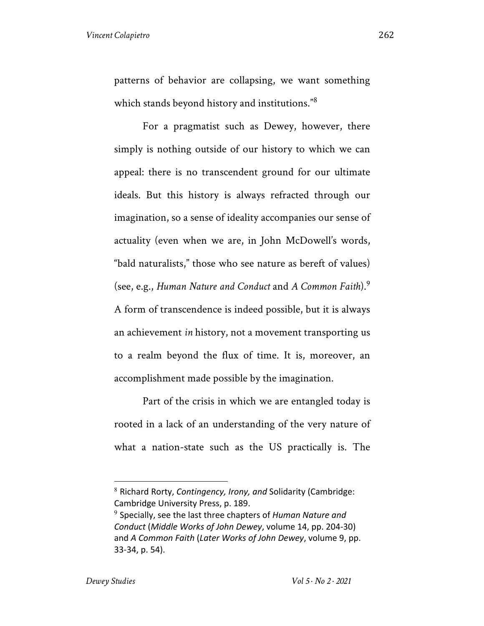patterns of behavior are collapsing, we want something which stands beyond history and institutions."<sup>8</sup>

For a pragmatist such as Dewey, however, there simply is nothing outside of our history to which we can appeal: there is no transcendent ground for our ultimate ideals. But this history is always refracted through our imagination, so a sense of ideality accompanies our sense of actuality (even when we are, in John McDowell's words, "bald naturalists," those who see nature as bereft of values) (see, e.g., *Human Nature and Conduct* and *A Common Faith*).<sup>9</sup>

A form of transcendence is indeed possible, but it is always an achievement *in* history, not a movement transporting us to a realm beyond the flux of time. It is, moreover, an accomplishment made possible by the imagination.

Part of the crisis in which we are entangled today is rooted in a lack of an understanding of the very nature of what a nation-state such as the US practically is. The

<sup>8</sup> Richard Rorty, *Contingency, Irony, and* Solidarity (Cambridge: Cambridge University Press, p. 189.

<sup>9</sup> Specially, see the last three chapters of *Human Nature and Conduct* (*Middle Works of John Dewey*, volume 14, pp. 204-30) and *A Common Faith* (*Later Works of John Dewey*, volume 9, pp. 33-34, p. 54).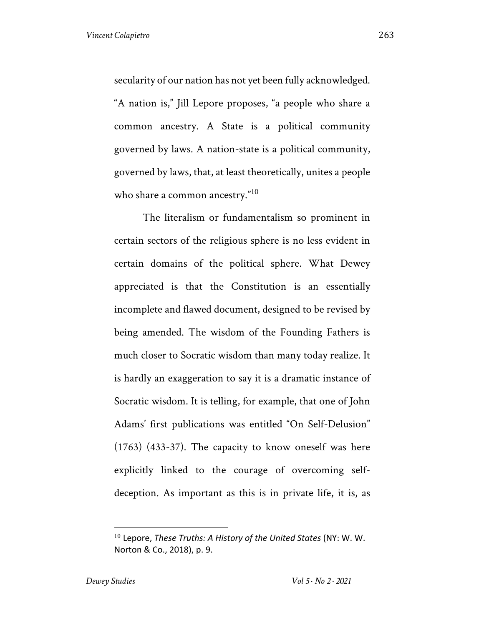secularity of our nation has not yet been fully acknowledged. "A nation is," Jill Lepore proposes, "a people who share a common ancestry. A State is a political community governed by laws. A nation-state is a political community, governed by laws, that, at least theoretically, unites a people who share a common ancestry."<sup>10</sup>

The literalism or fundamentalism so prominent in certain sectors of the religious sphere is no less evident in certain domains of the political sphere. What Dewey appreciated is that the Constitution is an essentially incomplete and flawed document, designed to be revised by being amended. The wisdom of the Founding Fathers is much closer to Socratic wisdom than many today realize. It is hardly an exaggeration to say it is a dramatic instance of Socratic wisdom. It is telling, for example, that one of John Adams' first publications was entitled "On Self-Delusion" (1763) (433-37). The capacity to know oneself was here explicitly linked to the courage of overcoming selfdeception. As important as this is in private life, it is, as

<sup>10</sup> Lepore, *These Truths: A History of the United States* (NY: W. W. Norton & Co., 2018), p. 9.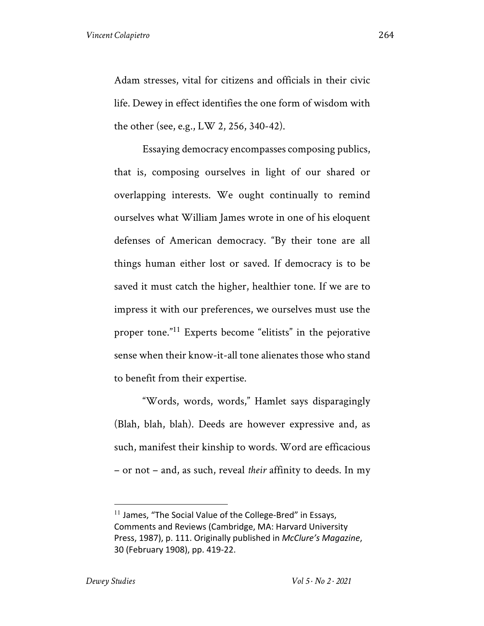Adam stresses, vital for citizens and officials in their civic life. Dewey in effect identifies the one form of wisdom with the other (see, e.g., LW 2, 256, 340-42).

Essaying democracy encompasses composing publics, that is, composing ourselves in light of our shared or overlapping interests. We ought continually to remind ourselves what William James wrote in one of his eloquent defenses of American democracy. "By their tone are all things human either lost or saved. If democracy is to be saved it must catch the higher, healthier tone. If we are to impress it with our preferences, we ourselves must use the proper tone."<sup>11</sup> Experts become "elitists" in the pejorative sense when their know-it-all tone alienates those who stand to benefit from their expertise.

"Words, words, words," Hamlet says disparagingly (Blah, blah, blah). Deeds are however expressive and, as such, manifest their kinship to words. Word are efficacious – or not – and, as such, reveal *their* affinity to deeds. In my

 $11$  James, "The Social Value of the College-Bred" in Essays, Comments and Reviews (Cambridge, MA: Harvard University Press, 1987), p. 111. Originally published in *McClure's Magazine*, 30 (February 1908), pp. 419-22.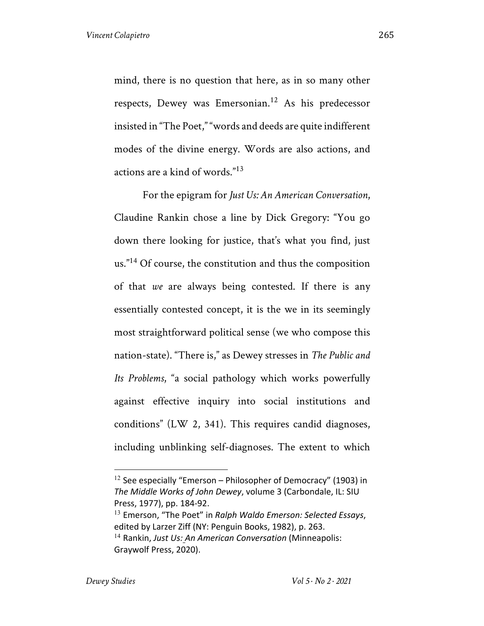mind, there is no question that here, as in so many other respects, Dewey was Emersonian.<sup>12</sup> As his predecessor insisted in "The Poet," "words and deeds are quite indifferent modes of the divine energy. Words are also actions, and actions are a kind of words."<sup>13</sup>

For the epigram for *Just Us: An American Conversation*, Claudine Rankin chose a line by Dick Gregory: "You go down there looking for justice, that's what you find, just us."<sup>14</sup> Of course, the constitution and thus the composition of that *we* are always being contested. If there is any essentially contested concept, it is the we in its seemingly most straightforward political sense (we who compose this nation-state). "There is," as Dewey stresses in *The Public and Its Problems*, "a social pathology which works powerfully against effective inquiry into social institutions and conditions" (LW 2, 341). This requires candid diagnoses, including unblinking self-diagnoses. The extent to which

 $12$  See especially "Emerson – Philosopher of Democracy" (1903) in *The Middle Works of John Dewey*, volume 3 (Carbondale, IL: SIU Press, 1977), pp. 184-92.

<sup>13</sup> Emerson, "The Poet" in *Ralph Waldo Emerson: Selected Essays*, edited by Larzer Ziff (NY: Penguin Books, 1982), p. 263. <sup>14</sup> Rankin, *Just Us: An American Conversation* (Minneapolis: Graywolf Press, 2020).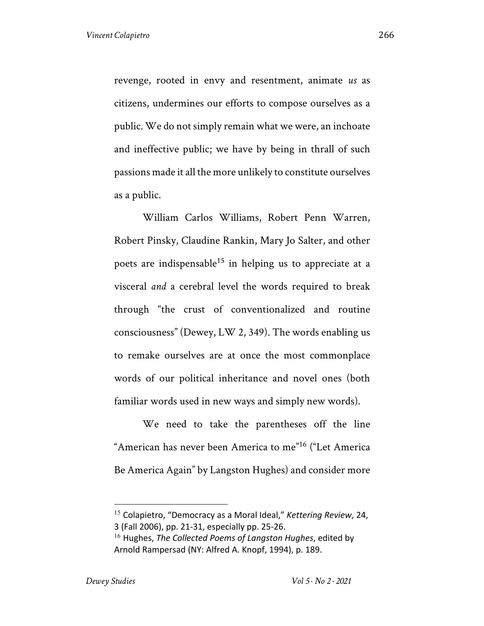revenge, rooted in envy and resentment, animate *us* as citizens, undermines our efforts to compose ourselves as a public. We do not simply remain what we were, an inchoate and ineffective public; we have by being in thrall of such passions made it all the more unlikely to constitute ourselves as a public.

William Carlos Williams, Robert Penn Warren, Robert Pinsky, Claudine Rankin, Mary Jo Salter, and other poets are indispensable<sup>15</sup> in helping us to appreciate at a visceral *and* a cerebral level the words required to break through "the crust of conventionalized and routine consciousness" (Dewey, LW 2, 349). The words enabling us to remake ourselves are at once the most commonplace words of our political inheritance and novel ones (both familiar words used in new ways and simply new words).

We need to take the parentheses off the line "American has never been America to me"<sup>16</sup> ("Let America Be America Again" by Langston Hughes) and consider more

<sup>15</sup> Colapietro, "Democracy as a Moral Ideal," *Kettering Review*, 24, 3 (Fall 2006), pp. 21-31, especially pp. 25-26.

<sup>16</sup> Hughes, *The Collected Poems of Langston Hughes*, edited by Arnold Rampersad (NY: Alfred A. Knopf, 1994), p. 189.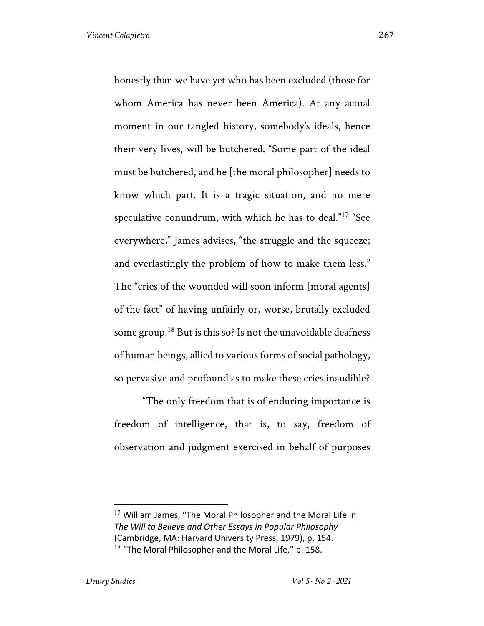honestly than we have yet who has been excluded (those for whom America has never been America). At any actual moment in our tangled history, somebody's ideals, hence their very lives, will be butchered. "Some part of the ideal must be butchered, and he [the moral philosopher] needs to know which part. It is a tragic situation, and no mere speculative conundrum, with which he has to deal." <sup>17</sup> "See everywhere," James advises, "the struggle and the squeeze; and everlastingly the problem of how to make them less." The "cries of the wounded will soon inform [moral agents] of the fact" of having unfairly or, worse, brutally excluded some group.<sup>18</sup> But is this so? Is not the unavoidable deafness of human beings, allied to various forms of social pathology, so pervasive and profound as to make these cries inaudible?

"The only freedom that is of enduring importance is freedom of intelligence, that is, to say, freedom of observation and judgment exercised in behalf of purposes

 $17$  William James, "The Moral Philosopher and the Moral Life in *The Will to Believe and Other Essays in Popular Philosophy*  (Cambridge, MA: Harvard University Press, 1979), p. 154.  $18$  "The Moral Philosopher and the Moral Life," p. 158.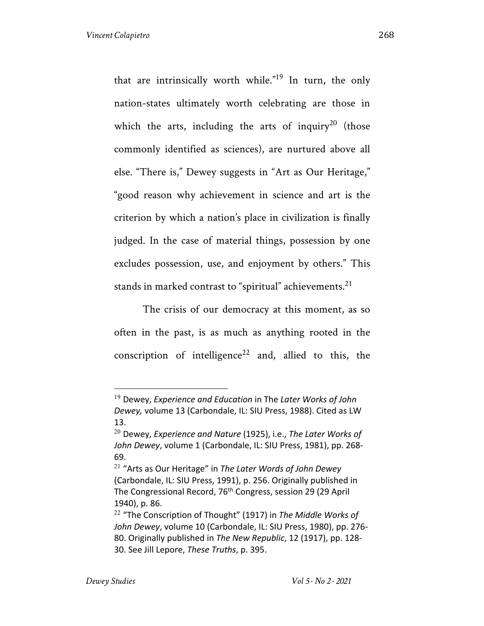that are intrinsically worth while."<sup>19</sup> In turn, the only nation-states ultimately worth celebrating are those in which the arts, including the arts of inquiry<sup>20</sup> (those commonly identified as sciences), are nurtured above all else. "There is," Dewey suggests in "Art as Our Heritage," "good reason why achievement in science and art is the criterion by which a nation's place in civilization is finally judged. In the case of material things, possession by one excludes possession, use, and enjoyment by others." This stands in marked contrast to "spiritual" achievements. $^{21}$ 

The crisis of our democracy at this moment, as so often in the past, is as much as anything rooted in the conscription of intelligence<sup>22</sup> and, allied to this, the

<sup>19</sup> Dewey, *Experience and Education* in The *Later Works of John Dewey,* volume 13 (Carbondale, IL: SIU Press, 1988). Cited as LW 13.

<sup>20</sup> Dewey, *Experience and Nature* (1925), i.e., *The Later Works of John Dewey*, volume 1 (Carbondale, IL: SIU Press, 1981), pp. 268- 69.

<sup>21</sup> "Arts as Our Heritage" in *The Later Words of John Dewey* (Carbondale, IL: SIU Press, 1991), p. 256. Originally published in The Congressional Record, 76th Congress, session 29 (29 April 1940), p. 86.

<sup>22</sup> "The Conscription of Thought" (1917) in *The Middle Works of John Dewey*, volume 10 (Carbondale, IL: SIU Press, 1980), pp. 276- 80. Originally published in *The New Republic*, 12 (1917), pp. 128- 30. See Jill Lepore, *These Truths*, p. 395.